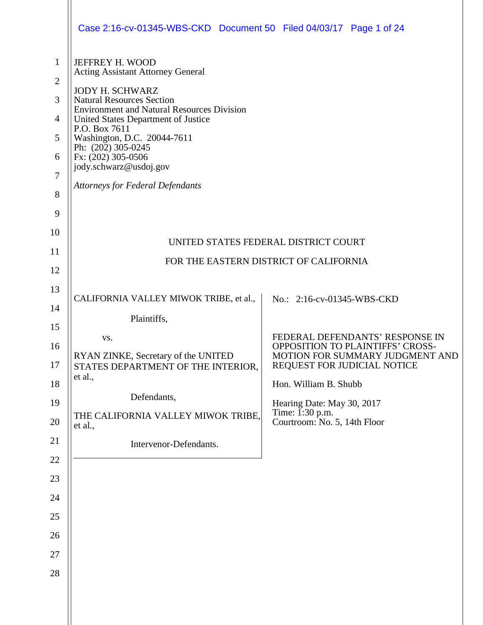|                                                                                        | Case 2:16-cv-01345-WBS-CKD Document 50 Filed 04/03/17 Page 1 of 24                                                                                                                                                                                                                                                                                                                             |                                                                                                                                                                                                                                                                                      |  |  |  |
|----------------------------------------------------------------------------------------|------------------------------------------------------------------------------------------------------------------------------------------------------------------------------------------------------------------------------------------------------------------------------------------------------------------------------------------------------------------------------------------------|--------------------------------------------------------------------------------------------------------------------------------------------------------------------------------------------------------------------------------------------------------------------------------------|--|--|--|
| $\mathbf{1}$<br>$\overline{2}$<br>3<br>$\overline{4}$<br>5<br>6<br>7<br>8<br>9         | JEFFREY H. WOOD<br><b>Acting Assistant Attorney General</b><br><b>JODY H. SCHWARZ</b><br><b>Natural Resources Section</b><br><b>Environment and Natural Resources Division</b><br>United States Department of Justice<br>P.O. Box 7611<br>Washington, D.C. 20044-7611<br>Ph: $(20\bar{2})$ 305-0245<br>Fx: (202) 305-0506<br>jody.schwarz@usdoj.gov<br><b>Attorneys for Federal Defendants</b> |                                                                                                                                                                                                                                                                                      |  |  |  |
| 10<br>11<br>12                                                                         | UNITED STATES FEDERAL DISTRICT COURT<br>FOR THE EASTERN DISTRICT OF CALIFORNIA                                                                                                                                                                                                                                                                                                                 |                                                                                                                                                                                                                                                                                      |  |  |  |
| 13<br>14<br>15<br>16<br>17<br>18<br>19<br>20<br>21<br>22<br>23<br>24<br>25<br>26<br>27 | CALIFORNIA VALLEY MIWOK TRIBE, et al.,<br>Plaintiffs,<br>VS.<br>RYAN ZINKE, Secretary of the UNITED<br>STATES DEPARTMENT OF THE INTERIOR,<br>et al.,<br>Defendants,<br>THE CALIFORNIA VALLEY MIWOK TRIBE,<br>et al.,<br>Intervenor-Defendants.                                                                                                                                                 | No.: 2:16-cv-01345-WBS-CKD<br>FEDERAL DEFENDANTS' RESPONSE IN<br><b>OPPOSITION TO PLAINTIFFS' CROSS-</b><br>MOTION FOR SUMMARY JUDGMENT AND<br>REQUEST FOR JUDICIAL NOTICE<br>Hon. William B. Shubb<br>Hearing Date: May 30, 2017<br>Time: 1:30 p.m.<br>Courtroom: No. 5, 14th Floor |  |  |  |
| 28                                                                                     |                                                                                                                                                                                                                                                                                                                                                                                                |                                                                                                                                                                                                                                                                                      |  |  |  |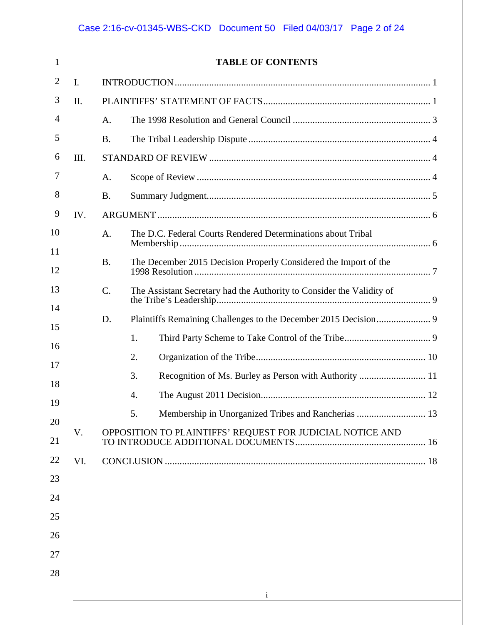|      | <b>TABLE OF CONTENTS</b>                                                       |
|------|--------------------------------------------------------------------------------|
| I.   |                                                                                |
| Π.   |                                                                                |
|      | A.                                                                             |
|      | <b>B.</b>                                                                      |
| III. |                                                                                |
|      | A.                                                                             |
|      | <b>B.</b>                                                                      |
| IV.  |                                                                                |
|      | The D.C. Federal Courts Rendered Determinations about Tribal<br>A.             |
|      | The December 2015 Decision Properly Considered the Import of the<br><b>B.</b>  |
|      | $C$ .<br>The Assistant Secretary had the Authority to Consider the Validity of |
|      | D.                                                                             |
|      | 1.                                                                             |
|      | 2.                                                                             |
|      | Recognition of Ms. Burley as Person with Authority  11<br>3.                   |
|      | 4.                                                                             |
|      | Membership in Unorganized Tribes and Rancherias  13<br>5.                      |
| V.   | OPPOSITION TO PLAINTIFFS' REQUEST FOR JUDICIAL NOTICE AND                      |
| VI.  |                                                                                |
|      |                                                                                |
|      |                                                                                |
|      |                                                                                |
|      |                                                                                |
|      |                                                                                |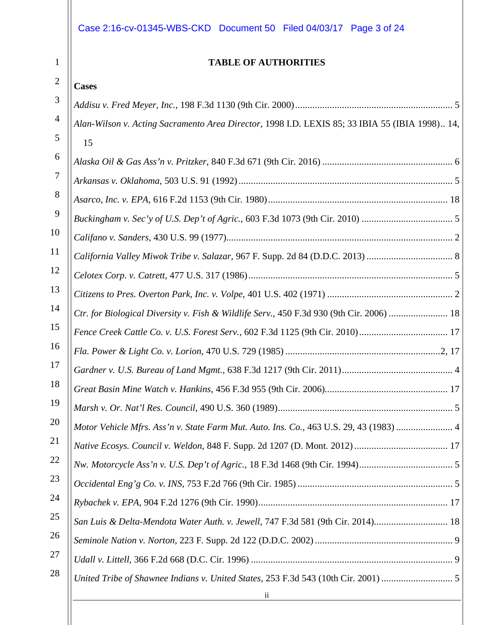## Case 2:16-cv-01345-WBS-CKD Document 50 Filed 04/03/17 Page 3 of 24

1

### **TABLE OF AUTHORITIES**

| $\overline{2}$ | <b>Cases</b>                                                                                   |
|----------------|------------------------------------------------------------------------------------------------|
| 3              |                                                                                                |
| $\overline{4}$ | Alan-Wilson v. Acting Sacramento Area Director, 1998 I.D. LEXIS 85; 33 IBIA 55 (IBIA 1998) 14, |
| 5              | 15                                                                                             |
| 6              |                                                                                                |
| 7              |                                                                                                |
| 8              |                                                                                                |
| 9              |                                                                                                |
| 10             |                                                                                                |
| <sup>11</sup>  | California Valley Miwok Tribe v. Salazar, 967 F. Supp. 2d 84 (D.D.C. 2013)  8                  |
| 12             |                                                                                                |
| 13             |                                                                                                |
| 14             | Ctr. for Biological Diversity v. Fish & Wildlife Serv., 450 F.3d 930 (9th Cir. 2006)  18       |
| 15             |                                                                                                |
| 16             |                                                                                                |
| 17             |                                                                                                |
| 18             |                                                                                                |
| 19             |                                                                                                |
| 20             | Motor Vehicle Mfrs. Ass'n v. State Farm Mut. Auto. Ins. Co., 463 U.S. 29, 43 (1983)  4         |
| 21             |                                                                                                |
| <u>22</u>      |                                                                                                |
| 23             |                                                                                                |
| 24             |                                                                                                |
| 25             | San Luis & Delta-Mendota Water Auth. v. Jewell, 747 F.3d 581 (9th Cir. 2014) 18                |
| 26             |                                                                                                |
| 27             |                                                                                                |
| 28             | United Tribe of Shawnee Indians v. United States, 253 F.3d 543 (10th Cir. 2001)                |
|                | $\overline{\mathbf{u}}$                                                                        |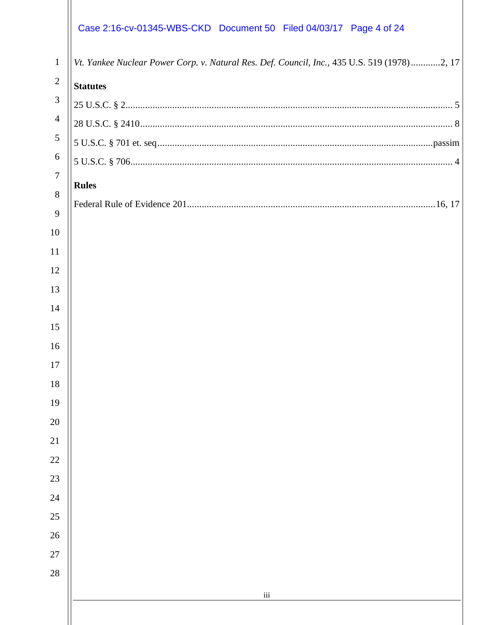# Case 2:16-cv-01345-WBS-CKD Document 50 Filed 04/03/17 Page 4 of 24

| $\mathbf{1}$   | Vt. Yankee Nuclear Power Corp. v. Natural Res. Def. Council, Inc., 435 U.S. 519 (1978)2, 17 |
|----------------|---------------------------------------------------------------------------------------------|
| $\overline{2}$ | <b>Statutes</b>                                                                             |
| 3              |                                                                                             |
| $\overline{4}$ |                                                                                             |
| 5              |                                                                                             |
| 6              |                                                                                             |
| $\tau$         | <b>Rules</b>                                                                                |
| 8<br>9         |                                                                                             |
| 10             |                                                                                             |
| 11             |                                                                                             |
| 12             |                                                                                             |
| 13             |                                                                                             |
| 14             |                                                                                             |
| 15             |                                                                                             |
| 16             |                                                                                             |
| 17             |                                                                                             |
| 18             |                                                                                             |
| 19             |                                                                                             |
| 20             |                                                                                             |
| 21             |                                                                                             |
| 22             |                                                                                             |
| 23             |                                                                                             |
| 24             |                                                                                             |
| 25             |                                                                                             |
| 26             |                                                                                             |
| 27             |                                                                                             |
| 28             |                                                                                             |
|                | $\rm iii$                                                                                   |
|                |                                                                                             |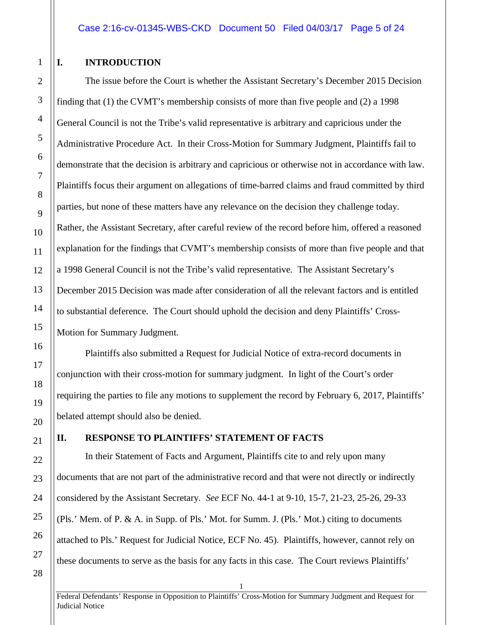#### <span id="page-4-0"></span>**I. INTRODUCTION**

The issue before the Court is whether the Assistant Secretary's December 2015 Decision finding that (1) the CVMT's membership consists of more than five people and (2) a 1998 General Council is not the Tribe's valid representative is arbitrary and capricious under the Administrative Procedure Act. In their Cross-Motion for Summary Judgment, Plaintiffs fail to demonstrate that the decision is arbitrary and capricious or otherwise not in accordance with law. Plaintiffs focus their argument on allegations of time-barred claims and fraud committed by third parties, but none of these matters have any relevance on the decision they challenge today. Rather, the Assistant Secretary, after careful review of the record before him, offered a reasoned explanation for the findings that CVMT's membership consists of more than five people and that a 1998 General Council is not the Tribe's valid representative. The Assistant Secretary's December 2015 Decision was made after consideration of all the relevant factors and is entitled to substantial deference. The Court should uphold the decision and deny Plaintiffs' Cross-Motion for Summary Judgment.

Plaintiffs also submitted a Request for Judicial Notice of extra-record documents in conjunction with their cross-motion for summary judgment. In light of the Court's order requiring the parties to file any motions to supplement the record by February 6, 2017, Plaintiffs' belated attempt should also be denied.

#### <span id="page-4-1"></span>**II. RESPONSE TO PLAINTIFFS' STATEMENT OF FACTS**

In their Statement of Facts and Argument, Plaintiffs cite to and rely upon many documents that are not part of the administrative record and that were not directly or indirectly considered by the Assistant Secretary. *See* ECF No. 44-1 at 9-10, 15-7, 21-23, 25-26, 29-33 (Pls.' Mem. of P. & A. in Supp. of Pls.' Mot. for Summ. J. (Pls.' Mot.) citing to documents attached to Pls.' Request for Judicial Notice, ECF No. 45). Plaintiffs, however, cannot rely on these documents to serve as the basis for any facts in this case. The Court reviews Plaintiffs'

Federal Defendants' Response in Opposition to Plaintiffs' Cross-Motion for Summary Judgment and Request for Judicial Notice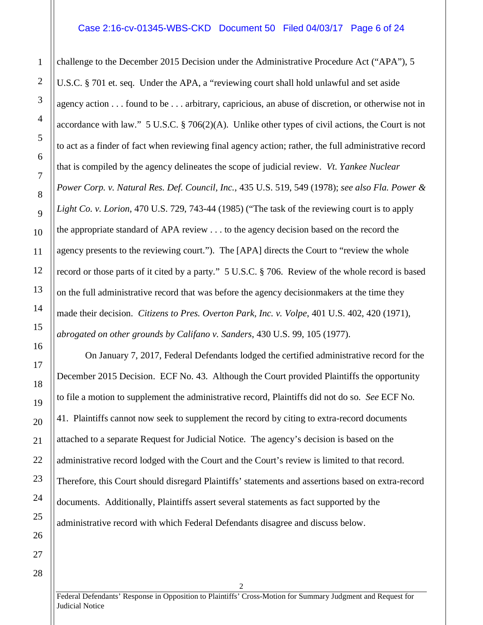#### Case 2:16-cv-01345-WBS-CKD Document 50 Filed 04/03/17 Page 6 of 24

challenge to the December 2015 Decision under the Administrative Procedure Act ("APA"), 5 U.S.C. § 701 et. seq. Under the APA, a "reviewing court shall hold unlawful and set aside agency action . . . found to be . . . arbitrary, capricious, an abuse of discretion, or otherwise not in accordance with law." 5 U.S.C. § 706(2)(A). Unlike other types of civil actions, the Court is not to act as a finder of fact when reviewing final agency action; rather, the full administrative record that is compiled by the agency delineates the scope of judicial review. *Vt. Yankee Nuclear Power Corp. v. Natural Res. Def. Council, Inc.*, 435 U.S. 519, 549 (1978); *see also Fla. Power & Light Co. v. Lorion*, 470 U.S. 729, 743-44 (1985) ("The task of the reviewing court is to apply the appropriate standard of APA review . . . to the agency decision based on the record the agency presents to the reviewing court."). The [APA] directs the Court to "review the whole record or those parts of it cited by a party." 5 U.S.C. § 706. Review of the whole record is based on the full administrative record that was before the agency decisionmakers at the time they made their decision. *Citizens to Pres. Overton Park, Inc. v. Volpe*, 401 U.S. 402, 420 (1971), *abrogated on other grounds by Califano v. Sanders*, 430 U.S. 99, 105 (1977).

On January 7, 2017, Federal Defendants lodged the certified administrative record for the December 2015 Decision. ECF No. 43. Although the Court provided Plaintiffs the opportunity to file a motion to supplement the administrative record, Plaintiffs did not do so. *See* ECF No. 41. Plaintiffs cannot now seek to supplement the record by citing to extra-record documents attached to a separate Request for Judicial Notice. The agency's decision is based on the administrative record lodged with the Court and the Court's review is limited to that record. Therefore, this Court should disregard Plaintiffs' statements and assertions based on extra-record documents. Additionally, Plaintiffs assert several statements as fact supported by the administrative record with which Federal Defendants disagree and discuss below.

1

2

3

Federal Defendants' Response in Opposition to Plaintiffs' Cross-Motion for Summary Judgment and Request for Judicial Notice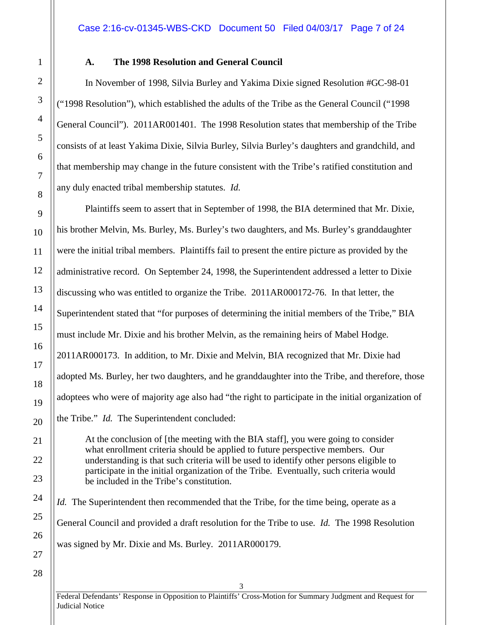<span id="page-6-0"></span>

1

2

3

4

5

6

7

8

9

10

11

12

13

14

15

16

17

18

19

#### **A. The 1998 Resolution and General Council**

In November of 1998, Silvia Burley and Yakima Dixie signed Resolution #GC-98-01 ("1998 Resolution"), which established the adults of the Tribe as the General Council ("1998 General Council"). 2011AR001401. The 1998 Resolution states that membership of the Tribe consists of at least Yakima Dixie, Silvia Burley, Silvia Burley's daughters and grandchild, and that membership may change in the future consistent with the Tribe's ratified constitution and any duly enacted tribal membership statutes. *Id.*

Plaintiffs seem to assert that in September of 1998, the BIA determined that Mr. Dixie, his brother Melvin, Ms. Burley, Ms. Burley's two daughters, and Ms. Burley's granddaughter were the initial tribal members. Plaintiffs fail to present the entire picture as provided by the administrative record. On September 24, 1998, the Superintendent addressed a letter to Dixie discussing who was entitled to organize the Tribe. 2011AR000172-76. In that letter, the Superintendent stated that "for purposes of determining the initial members of the Tribe," BIA must include Mr. Dixie and his brother Melvin, as the remaining heirs of Mabel Hodge. 2011AR000173. In addition, to Mr. Dixie and Melvin, BIA recognized that Mr. Dixie had adopted Ms. Burley, her two daughters, and he granddaughter into the Tribe, and therefore, those adoptees who were of majority age also had "the right to participate in the initial organization of the Tribe." *Id.* The Superintendent concluded:

At the conclusion of [the meeting with the BIA staff], you were going to consider what enrollment criteria should be applied to future perspective members. Our understanding is that such criteria will be used to identify other persons eligible to participate in the initial organization of the Tribe. Eventually, such criteria would be included in the Tribe's constitution.

*Id.* The Superintendent then recommended that the Tribe, for the time being, operate as a General Council and provided a draft resolution for the Tribe to use. *Id.* The 1998 Resolution was signed by Mr. Dixie and Ms. Burley. 2011AR000179.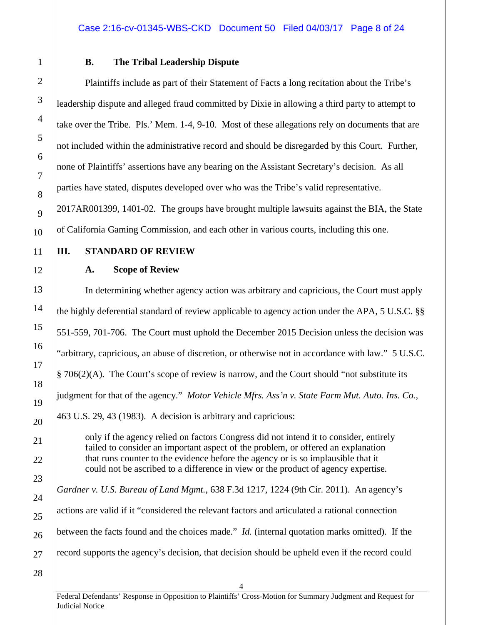#### <span id="page-7-0"></span>**B. The Tribal Leadership Dispute**

Plaintiffs include as part of their Statement of Facts a long recitation about the Tribe's leadership dispute and alleged fraud committed by Dixie in allowing a third party to attempt to take over the Tribe. Pls.' Mem. 1-4, 9-10. Most of these allegations rely on documents that are not included within the administrative record and should be disregarded by this Court. Further, none of Plaintiffs' assertions have any bearing on the Assistant Secretary's decision. As all parties have stated, disputes developed over who was the Tribe's valid representative. 2017AR001399, 1401-02. The groups have brought multiple lawsuits against the BIA, the State of California Gaming Commission, and each other in various courts, including this one.

#### <span id="page-7-2"></span><span id="page-7-1"></span>**III. STANDARD OF REVIEW**

#### **A. Scope of Review**

In determining whether agency action was arbitrary and capricious, the Court must apply the highly deferential standard of review applicable to agency action under the APA, 5 U.S.C. §§ 551-559, 701-706. The Court must uphold the December 2015 Decision unless the decision was "arbitrary, capricious, an abuse of discretion, or otherwise not in accordance with law." 5 U.S.C. § 706(2)(A). The Court's scope of review is narrow, and the Court should "not substitute its judgment for that of the agency." *Motor Vehicle Mfrs. Ass'n v. State Farm Mut. Auto. Ins. Co.*, 463 U.S. 29, 43 (1983). A decision is arbitrary and capricious:

only if the agency relied on factors Congress did not intend it to consider, entirely failed to consider an important aspect of the problem, or offered an explanation that runs counter to the evidence before the agency or is so implausible that it could not be ascribed to a difference in view or the product of agency expertise.

*Gardner v. U.S. Bureau of Land Mgmt.*, 638 F.3d 1217, 1224 (9th Cir. 2011). An agency's actions are valid if it "considered the relevant factors and articulated a rational connection between the facts found and the choices made." *Id.* (internal quotation marks omitted). If the record supports the agency's decision, that decision should be upheld even if the record could

 $\Delta$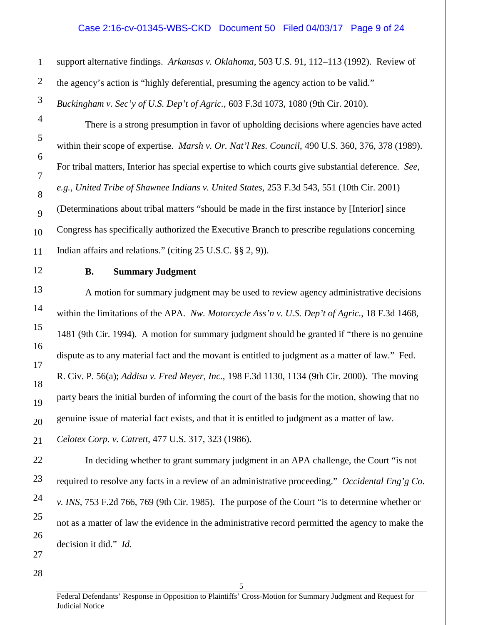#### Case 2:16-cv-01345-WBS-CKD Document 50 Filed 04/03/17 Page 9 of 24

support alternative findings. *Arkansas v. Oklahoma*, 503 U.S. 91, 112–113 (1992). Review of the agency's action is "highly deferential, presuming the agency action to be valid." *Buckingham v. Sec'y of U.S. Dep't of Agric.*, 603 F.3d 1073, 1080 (9th Cir. 2010).

There is a strong presumption in favor of upholding decisions where agencies have acted within their scope of expertise. *Marsh v. Or. Nat'l Res. Council*, 490 U.S. 360, 376, 378 (1989). For tribal matters, Interior has special expertise to which courts give substantial deference. *See*, *e.g.*, *United Tribe of Shawnee Indians v. United States*, 253 F.3d 543, 551 (10th Cir. 2001) (Determinations about tribal matters "should be made in the first instance by [Interior] since Congress has specifically authorized the Executive Branch to prescribe regulations concerning Indian affairs and relations." (citing 25 U.S.C. §§ 2, 9)).

#### **B. Summary Judgment**

<span id="page-8-0"></span>A motion for summary judgment may be used to review agency administrative decisions within the limitations of the APA. *Nw. Motorcycle Ass'n v. U.S. Dep't of Agric.*, 18 F.3d 1468, 1481 (9th Cir. 1994). A motion for summary judgment should be granted if "there is no genuine dispute as to any material fact and the movant is entitled to judgment as a matter of law." Fed. R. Civ. P. 56(a); *Addisu v. Fred Meyer, Inc.*, 198 F.3d 1130, 1134 (9th Cir. 2000). The moving party bears the initial burden of informing the court of the basis for the motion, showing that no genuine issue of material fact exists, and that it is entitled to judgment as a matter of law. *Celotex Corp. v. Catrett*, 477 U.S. 317, 323 (1986).

In deciding whether to grant summary judgment in an APA challenge, the Court "is not required to resolve any facts in a review of an administrative proceeding." *Occidental Eng'g Co. v. INS*, 753 F.2d 766, 769 (9th Cir. 1985). The purpose of the Court "is to determine whether or not as a matter of law the evidence in the administrative record permitted the agency to make the decision it did." *Id.*

1

2

3

4

5

6

7

8

9

10

11

12

13

14

15

16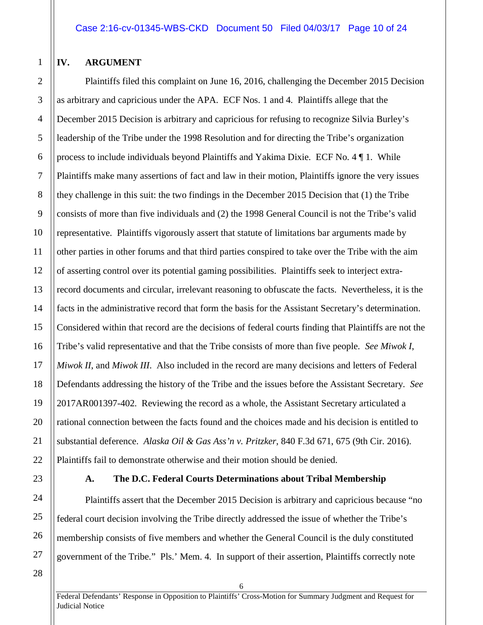#### <span id="page-9-0"></span>**IV. ARGUMENT**

1

2

3

4

5

6

7

8

9

10

11

12

13

14

15

16

17

18

19

20

21

22

24

25

26

27

Plaintiffs filed this complaint on June 16, 2016, challenging the December 2015 Decision as arbitrary and capricious under the APA. ECF Nos. 1 and 4. Plaintiffs allege that the December 2015 Decision is arbitrary and capricious for refusing to recognize Silvia Burley's leadership of the Tribe under the 1998 Resolution and for directing the Tribe's organization process to include individuals beyond Plaintiffs and Yakima Dixie. ECF No. 4 ¶ 1. While Plaintiffs make many assertions of fact and law in their motion, Plaintiffs ignore the very issues they challenge in this suit: the two findings in the December 2015 Decision that (1) the Tribe consists of more than five individuals and (2) the 1998 General Council is not the Tribe's valid representative. Plaintiffs vigorously assert that statute of limitations bar arguments made by other parties in other forums and that third parties conspired to take over the Tribe with the aim of asserting control over its potential gaming possibilities. Plaintiffs seek to interject extrarecord documents and circular, irrelevant reasoning to obfuscate the facts. Nevertheless, it is the facts in the administrative record that form the basis for the Assistant Secretary's determination. Considered within that record are the decisions of federal courts finding that Plaintiffs are not the Tribe's valid representative and that the Tribe consists of more than five people. *See Miwok I*, *Miwok II*, and *Miwok III*. Also included in the record are many decisions and letters of Federal Defendants addressing the history of the Tribe and the issues before the Assistant Secretary. *See* 2017AR001397-402. Reviewing the record as a whole, the Assistant Secretary articulated a rational connection between the facts found and the choices made and his decision is entitled to substantial deference. *Alaska Oil & Gas Ass'n v. Pritzker*, 840 F.3d 671, 675 (9th Cir. 2016). Plaintiffs fail to demonstrate otherwise and their motion should be denied.

23

#### **A. The D.C. Federal Courts Determinations about Tribal Membership**

<span id="page-9-1"></span>Plaintiffs assert that the December 2015 Decision is arbitrary and capricious because "no federal court decision involving the Tribe directly addressed the issue of whether the Tribe's membership consists of five members and whether the General Council is the duly constituted government of the Tribe." Pls.' Mem. 4. In support of their assertion, Plaintiffs correctly note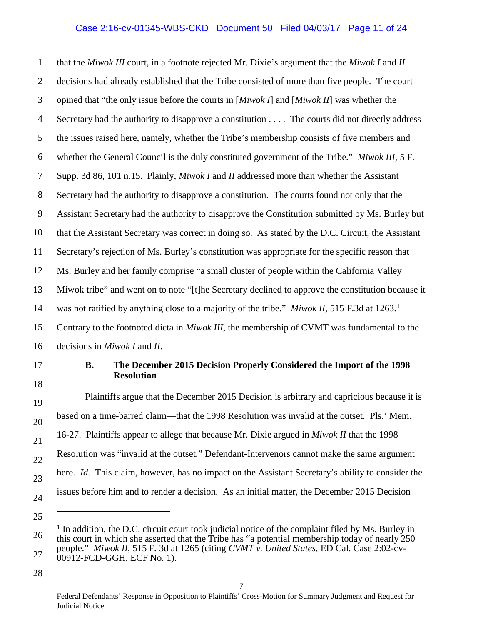#### Case 2:16-cv-01345-WBS-CKD Document 50 Filed 04/03/17 Page 11 of 24

that the *Miwok III* court, in a footnote rejected Mr. Dixie's argument that the *Miwok I* and *II* decisions had already established that the Tribe consisted of more than five people. The court opined that "the only issue before the courts in [*Miwok I*] and [*Miwok II*] was whether the Secretary had the authority to disapprove a constitution . . . . The courts did not directly address the issues raised here, namely, whether the Tribe's membership consists of five members and whether the General Council is the duly constituted government of the Tribe." *Miwok III*, 5 F. Supp. 3d 86, 101 n.15. Plainly, *Miwok I* and *II* addressed more than whether the Assistant Secretary had the authority to disapprove a constitution. The courts found not only that the Assistant Secretary had the authority to disapprove the Constitution submitted by Ms. Burley but that the Assistant Secretary was correct in doing so. As stated by the D.C. Circuit, the Assistant Secretary's rejection of Ms. Burley's constitution was appropriate for the specific reason that Ms. Burley and her family comprise "a small cluster of people within the California Valley Miwok tribe" and went on to note "[t]he Secretary declined to approve the constitution because it was not ratified by anything close to a majority of the tribe." *Miwok II*, 5[1](#page-10-1)5 F.3d at 1263.<sup>1</sup> Contrary to the footnoted dicta in *Miwok III*, the membership of CVMT was fundamental to the decisions in *Miwok I* and *II*.

#### **B. The December 2015 Decision Properly Considered the Import of the 1998 Resolution**

Plaintiffs argue that the December 2015 Decision is arbitrary and capricious because it is based on a time-barred claim—that the 1998 Resolution was invalid at the outset. Pls.' Mem. 16-27. Plaintiffs appear to allege that because Mr. Dixie argued in *Miwok II* that the 1998 Resolution was "invalid at the outset," Defendant-Intervenors cannot make the same argument here. *Id.* This claim, however, has no impact on the Assistant Secretary's ability to consider the issues before him and to render a decision. As an initial matter, the December 2015 Decision

28

27

1

2

3

4

5

6

7

8

9

10

11

12

13

14

15

16

<span id="page-10-0"></span>17

18

19

20

21

22

23

24

<span id="page-10-1"></span>25

 $\overline{a}$ 

Federal Defendants' Response in Opposition to Plaintiffs' Cross-Motion for Summary Judgment and Request for Judicial Notice

 $<sup>1</sup>$  In addition, the D.C. circuit court took judicial notice of the complaint filed by Ms. Burley in</sup> this court in which she asserted that the Tribe has "a potential membership today of nearly 250 people." *Miwok II*, 515 F. 3d at 1265 (citing *CVMT v. United States*, ED Cal. Case 2:02-cv-00912-FCD-GGH, ECF No. 1).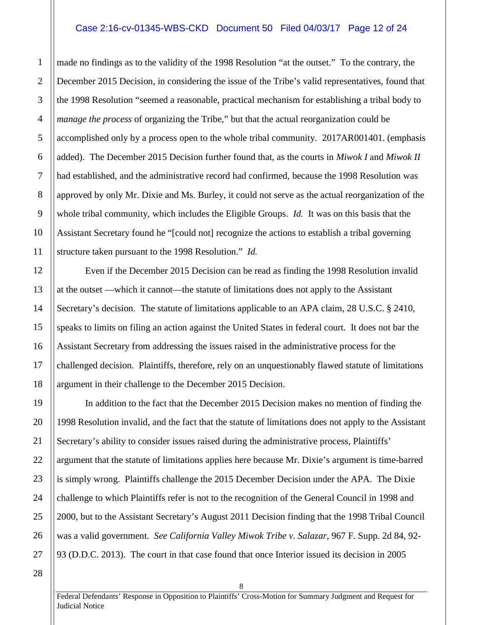#### Case 2:16-cv-01345-WBS-CKD Document 50 Filed 04/03/17 Page 12 of 24

made no findings as to the validity of the 1998 Resolution "at the outset." To the contrary, the December 2015 Decision, in considering the issue of the Tribe's valid representatives, found that the 1998 Resolution "seemed a reasonable, practical mechanism for establishing a tribal body to *manage the process* of organizing the Tribe," but that the actual reorganization could be accomplished only by a process open to the whole tribal community. 2017AR001401. (emphasis added). The December 2015 Decision further found that, as the courts in *Miwok I* and *Miwok II* had established, and the administrative record had confirmed, because the 1998 Resolution was approved by only Mr. Dixie and Ms. Burley, it could not serve as the actual reorganization of the whole tribal community, which includes the Eligible Groups. *Id.* It was on this basis that the Assistant Secretary found he "[could not] recognize the actions to establish a tribal governing structure taken pursuant to the 1998 Resolution." *Id.*

Even if the December 2015 Decision can be read as finding the 1998 Resolution invalid at the outset —which it cannot—the statute of limitations does not apply to the Assistant Secretary's decision. The statute of limitations applicable to an APA claim, 28 U.S.C. § 2410, speaks to limits on filing an action against the United States in federal court. It does not bar the Assistant Secretary from addressing the issues raised in the administrative process for the challenged decision. Plaintiffs, therefore, rely on an unquestionably flawed statute of limitations argument in their challenge to the December 2015 Decision.

In addition to the fact that the December 2015 Decision makes no mention of finding the 1998 Resolution invalid, and the fact that the statute of limitations does not apply to the Assistant Secretary's ability to consider issues raised during the administrative process, Plaintiffs' argument that the statute of limitations applies here because Mr. Dixie's argument is time-barred is simply wrong. Plaintiffs challenge the 2015 December Decision under the APA. The Dixie challenge to which Plaintiffs refer is not to the recognition of the General Council in 1998 and 2000, but to the Assistant Secretary's August 2011 Decision finding that the 1998 Tribal Council was a valid government. *See California Valley Miwok Tribe v. Salazar*, 967 F. Supp. 2d 84, 92- 93 (D.D.C. 2013). The court in that case found that once Interior issued its decision in 2005

1

2

3

4

5

6

7

8

9

10

11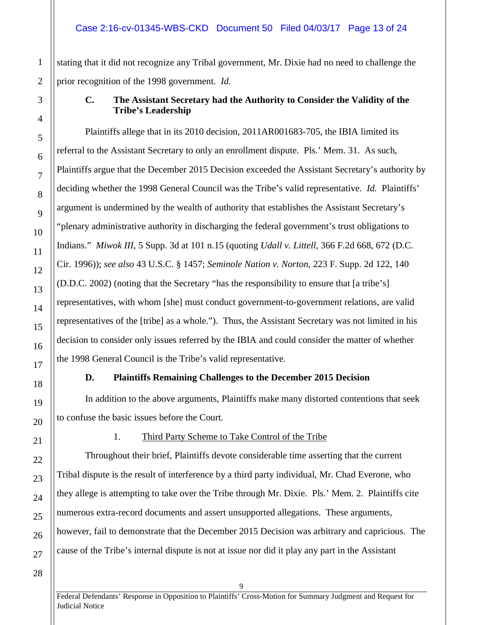stating that it did not recognize any Tribal government, Mr. Dixie had no need to challenge the prior recognition of the 1998 government. *Id.*

#### **C. The Assistant Secretary had the Authority to Consider the Validity of the Tribe's Leadership**

Plaintiffs allege that in its 2010 decision, 2011AR001683-705, the IBIA limited its referral to the Assistant Secretary to only an enrollment dispute. Pls.' Mem. 31. As such, Plaintiffs argue that the December 2015 Decision exceeded the Assistant Secretary's authority by deciding whether the 1998 General Council was the Tribe's valid representative. *Id.* Plaintiffs' argument is undermined by the wealth of authority that establishes the Assistant Secretary's "plenary administrative authority in discharging the federal government's trust obligations to Indians." *Miwok III*, 5 Supp. 3d at 101 n.15 (quoting *Udall v. Littell*, 366 F.2d 668, 672 (D.C. Cir. 1996)); *see also* 43 U.S.C. § 1457; *Seminole Nation v. Norton*, 223 F. Supp. 2d 122, 140 (D.D.C. 2002) (noting that the Secretary "has the responsibility to ensure that [a tribe's] representatives, with whom [she] must conduct government-to-government relations, are valid representatives of the [tribe] as a whole."). Thus, the Assistant Secretary was not limited in his decision to consider only issues referred by the IBIA and could consider the matter of whether the 1998 General Council is the Tribe's valid representative.

#### **D. Plaintiffs Remaining Challenges to the December 2015 Decision**

<span id="page-12-1"></span>In addition to the above arguments, Plaintiffs make many distorted contentions that seek to confuse the basic issues before the Court.

#### <span id="page-12-2"></span>1. Third Party Scheme to Take Control of the Tribe

Throughout their brief, Plaintiffs devote considerable time asserting that the current Tribal dispute is the result of interference by a third party individual, Mr. Chad Everone, who they allege is attempting to take over the Tribe through Mr. Dixie. Pls.' Mem. 2. Plaintiffs cite numerous extra-record documents and assert unsupported allegations. These arguments, however, fail to demonstrate that the December 2015 Decision was arbitrary and capricious. The cause of the Tribe's internal dispute is not at issue nor did it play any part in the Assistant

1

2

<span id="page-12-0"></span>3

4

5

6

7

8

9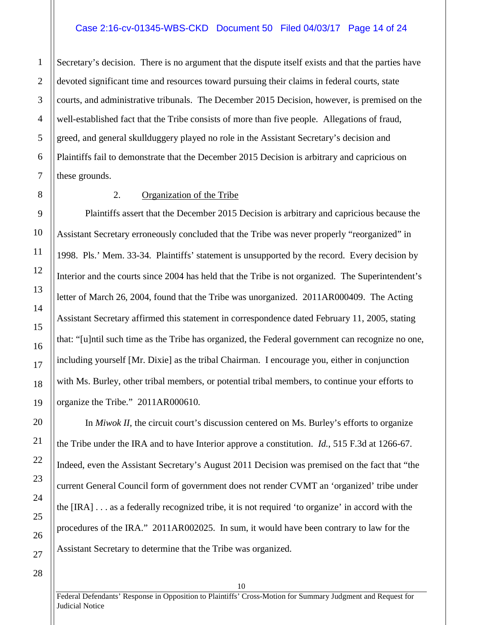#### Case 2:16-cv-01345-WBS-CKD Document 50 Filed 04/03/17 Page 14 of 24

Secretary's decision. There is no argument that the dispute itself exists and that the parties have devoted significant time and resources toward pursuing their claims in federal courts, state courts, and administrative tribunals. The December 2015 Decision, however, is premised on the well-established fact that the Tribe consists of more than five people. Allegations of fraud, greed, and general skullduggery played no role in the Assistant Secretary's decision and Plaintiffs fail to demonstrate that the December 2015 Decision is arbitrary and capricious on these grounds.

1

2

3

4

5

6

7

8

9

10

11

12

13

14

15

16

17

18

19

20

21

22

23

24

25

26

27

#### <span id="page-13-0"></span>2. Organization of the Tribe

Plaintiffs assert that the December 2015 Decision is arbitrary and capricious because the Assistant Secretary erroneously concluded that the Tribe was never properly "reorganized" in 1998. Pls.' Mem. 33-34. Plaintiffs' statement is unsupported by the record. Every decision by Interior and the courts since 2004 has held that the Tribe is not organized. The Superintendent's letter of March 26, 2004, found that the Tribe was unorganized. 2011AR000409. The Acting Assistant Secretary affirmed this statement in correspondence dated February 11, 2005, stating that: "[u]ntil such time as the Tribe has organized, the Federal government can recognize no one, including yourself [Mr. Dixie] as the tribal Chairman. I encourage you, either in conjunction with Ms. Burley, other tribal members, or potential tribal members, to continue your efforts to organize the Tribe." 2011AR000610.

In *Miwok II*, the circuit court's discussion centered on Ms. Burley's efforts to organize the Tribe under the IRA and to have Interior approve a constitution. *Id.*, 515 F.3d at 1266-67. Indeed, even the Assistant Secretary's August 2011 Decision was premised on the fact that "the current General Council form of government does not render CVMT an 'organized' tribe under the [IRA] . . . as a federally recognized tribe, it is not required 'to organize' in accord with the procedures of the IRA." 2011AR002025. In sum, it would have been contrary to law for the Assistant Secretary to determine that the Tribe was organized.

28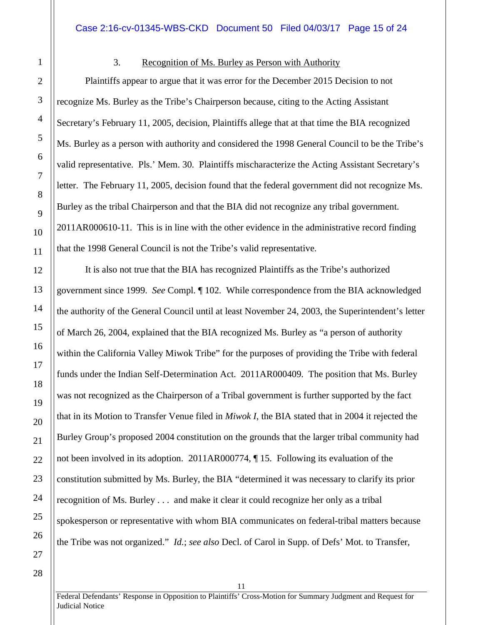#### <span id="page-14-0"></span>3. Recognition of Ms. Burley as Person with Authority

Plaintiffs appear to argue that it was error for the December 2015 Decision to not recognize Ms. Burley as the Tribe's Chairperson because, citing to the Acting Assistant Secretary's February 11, 2005, decision, Plaintiffs allege that at that time the BIA recognized Ms. Burley as a person with authority and considered the 1998 General Council to be the Tribe's valid representative. Pls.' Mem. 30. Plaintiffs mischaracterize the Acting Assistant Secretary's letter. The February 11, 2005, decision found that the federal government did not recognize Ms. Burley as the tribal Chairperson and that the BIA did not recognize any tribal government. 2011AR000610-11. This is in line with the other evidence in the administrative record finding that the 1998 General Council is not the Tribe's valid representative.

It is also not true that the BIA has recognized Plaintiffs as the Tribe's authorized government since 1999. *See* Compl. ¶ 102. While correspondence from the BIA acknowledged the authority of the General Council until at least November 24, 2003, the Superintendent's letter of March 26, 2004, explained that the BIA recognized Ms. Burley as "a person of authority within the California Valley Miwok Tribe" for the purposes of providing the Tribe with federal funds under the Indian Self-Determination Act. 2011AR000409. The position that Ms. Burley was not recognized as the Chairperson of a Tribal government is further supported by the fact that in its Motion to Transfer Venue filed in *Miwok I*, the BIA stated that in 2004 it rejected the Burley Group's proposed 2004 constitution on the grounds that the larger tribal community had not been involved in its adoption. 2011AR000774, ¶ 15. Following its evaluation of the constitution submitted by Ms. Burley, the BIA "determined it was necessary to clarify its prior recognition of Ms. Burley . . . and make it clear it could recognize her only as a tribal spokesperson or representative with whom BIA communicates on federal-tribal matters because the Tribe was not organized." *Id.*; *see also* Decl. of Carol in Supp. of Defs' Mot. to Transfer,

28

Federal Defendants' Response in Opposition to Plaintiffs' Cross-Motion for Summary Judgment and Request for Judicial Notice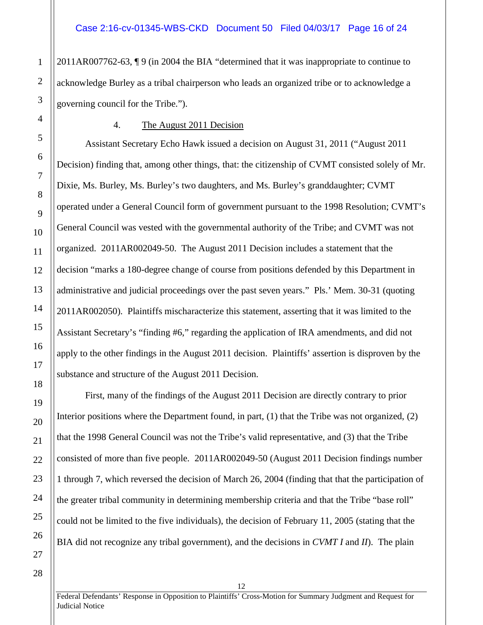2011AR007762-63, ¶ 9 (in 2004 the BIA "determined that it was inappropriate to continue to acknowledge Burley as a tribal chairperson who leads an organized tribe or to acknowledge a governing council for the Tribe.").

#### <span id="page-15-0"></span>4. The August 2011 Decision

Assistant Secretary Echo Hawk issued a decision on August 31, 2011 ("August 2011 Decision) finding that, among other things, that: the citizenship of CVMT consisted solely of Mr. Dixie, Ms. Burley, Ms. Burley's two daughters, and Ms. Burley's granddaughter; CVMT operated under a General Council form of government pursuant to the 1998 Resolution; CVMT's General Council was vested with the governmental authority of the Tribe; and CVMT was not organized. 2011AR002049-50. The August 2011 Decision includes a statement that the decision "marks a 180-degree change of course from positions defended by this Department in administrative and judicial proceedings over the past seven years." Pls.' Mem. 30-31 (quoting 2011AR002050). Plaintiffs mischaracterize this statement, asserting that it was limited to the Assistant Secretary's "finding #6," regarding the application of IRA amendments, and did not apply to the other findings in the August 2011 decision. Plaintiffs' assertion is disproven by the substance and structure of the August 2011 Decision.

First, many of the findings of the August 2011 Decision are directly contrary to prior Interior positions where the Department found, in part, (1) that the Tribe was not organized, (2) that the 1998 General Council was not the Tribe's valid representative, and (3) that the Tribe consisted of more than five people. 2011AR002049-50 (August 2011 Decision findings number 1 through 7, which reversed the decision of March 26, 2004 (finding that that the participation of the greater tribal community in determining membership criteria and that the Tribe "base roll" could not be limited to the five individuals), the decision of February 11, 2005 (stating that the BIA did not recognize any tribal government), and the decisions in *CVMT I* and *II*). The plain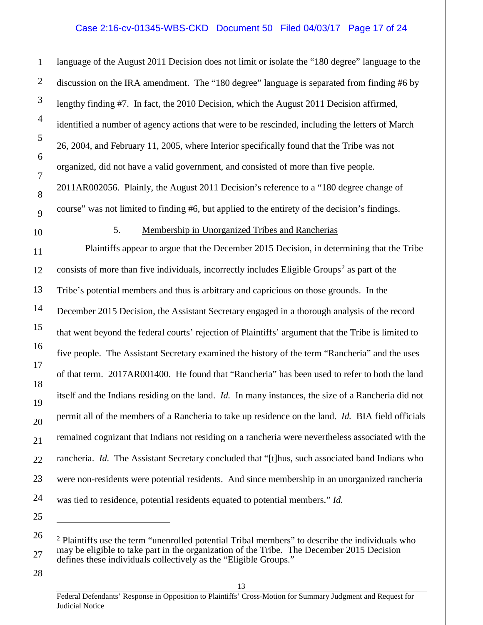#### Case 2:16-cv-01345-WBS-CKD Document 50 Filed 04/03/17 Page 17 of 24

language of the August 2011 Decision does not limit or isolate the "180 degree" language to the discussion on the IRA amendment. The "180 degree" language is separated from finding #6 by lengthy finding #7. In fact, the 2010 Decision, which the August 2011 Decision affirmed, identified a number of agency actions that were to be rescinded, including the letters of March 26, 2004, and February 11, 2005, where Interior specifically found that the Tribe was not organized, did not have a valid government, and consisted of more than five people. 2011AR002056. Plainly, the August 2011 Decision's reference to a "180 degree change of course" was not limited to finding #6, but applied to the entirety of the decision's findings.

### <span id="page-16-0"></span>5. Membership in Unorganized Tribes and Rancherias

Plaintiffs appear to argue that the December 2015 Decision, in determining that the Tribe consists of more than five individuals, incorrectly includes Eligible Groups<sup>[2](#page-16-1)</sup> as part of the Tribe's potential members and thus is arbitrary and capricious on those grounds. In the December 2015 Decision, the Assistant Secretary engaged in a thorough analysis of the record that went beyond the federal courts' rejection of Plaintiffs' argument that the Tribe is limited to five people. The Assistant Secretary examined the history of the term "Rancheria" and the uses of that term. 2017AR001400. He found that "Rancheria" has been used to refer to both the land itself and the Indians residing on the land. *Id.* In many instances, the size of a Rancheria did not permit all of the members of a Rancheria to take up residence on the land. *Id.* BIA field officials remained cognizant that Indians not residing on a rancheria were nevertheless associated with the rancheria. *Id.* The Assistant Secretary concluded that "[t]hus, such associated band Indians who were non-residents were potential residents. And since membership in an unorganized rancheria was tied to residence, potential residents equated to potential members." *Id.*

 $2$  Plaintiffs use the term "unenrolled potential Tribal members" to describe the individuals who may be eligible to take part in the organization of the Tribe. The December 2015 Decision defines these individuals collectively as the "Eligible Groups."

28

1

2

3

4

5

6

7

8

9

10

11

12

13

14

15

16

17

18

19

20

21

22

23

24

25

 $\overline{a}$ 

<span id="page-16-1"></span>26

27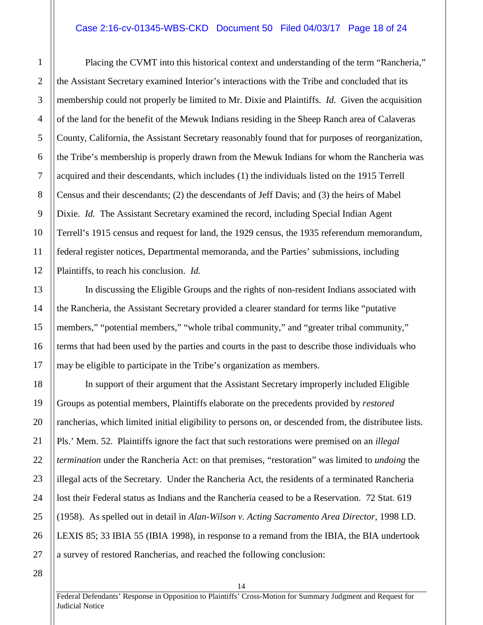#### Case 2:16-cv-01345-WBS-CKD Document 50 Filed 04/03/17 Page 18 of 24

Placing the CVMT into this historical context and understanding of the term "Rancheria," the Assistant Secretary examined Interior's interactions with the Tribe and concluded that its membership could not properly be limited to Mr. Dixie and Plaintiffs. *Id.* Given the acquisition of the land for the benefit of the Mewuk Indians residing in the Sheep Ranch area of Calaveras County, California, the Assistant Secretary reasonably found that for purposes of reorganization, the Tribe's membership is properly drawn from the Mewuk Indians for whom the Rancheria was acquired and their descendants, which includes (1) the individuals listed on the 1915 Terrell Census and their descendants; (2) the descendants of Jeff Davis; and (3) the heirs of Mabel Dixie. *Id.* The Assistant Secretary examined the record, including Special Indian Agent Terrell's 1915 census and request for land, the 1929 census, the 1935 referendum memorandum, federal register notices, Departmental memoranda, and the Parties' submissions, including Plaintiffs, to reach his conclusion. *Id.*

In discussing the Eligible Groups and the rights of non-resident Indians associated with the Rancheria, the Assistant Secretary provided a clearer standard for terms like "putative members," "potential members," "whole tribal community," and "greater tribal community," terms that had been used by the parties and courts in the past to describe those individuals who may be eligible to participate in the Tribe's organization as members.

In support of their argument that the Assistant Secretary improperly included Eligible Groups as potential members, Plaintiffs elaborate on the precedents provided by *restored*  rancherias, which limited initial eligibility to persons on, or descended from, the distributee lists. Pls.' Mem. 52. Plaintiffs ignore the fact that such restorations were premised on an *illegal termination* under the Rancheria Act: on that premises, "restoration" was limited to *undoing* the illegal acts of the Secretary. Under the Rancheria Act, the residents of a terminated Rancheria lost their Federal status as Indians and the Rancheria ceased to be a Reservation. 72 Stat. 619 (1958). As spelled out in detail in *Alan-Wilson v. Acting Sacramento Area Director*, 1998 I.D. LEXIS 85; 33 IBIA 55 (IBIA 1998), in response to a remand from the IBIA, the BIA undertook a survey of restored Rancherias, and reached the following conclusion:

28

27

1

2

3

4

5

6

7

8

9

10

11

12

13

14

15

16

17

18

19

20

21

22

23

24

25

26

Federal Defendants' Response in Opposition to Plaintiffs' Cross-Motion for Summary Judgment and Request for Judicial Notice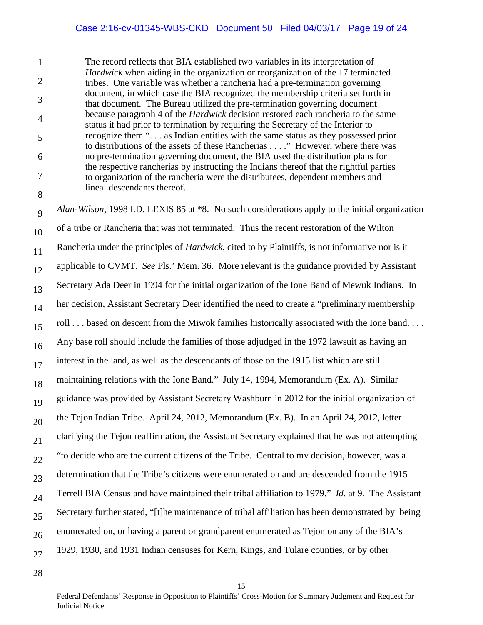#### Case 2:16-cv-01345-WBS-CKD Document 50 Filed 04/03/17 Page 19 of 24

The record reflects that BIA established two variables in its interpretation of *Hardwick* when aiding in the organization or reorganization of the 17 terminated tribes. One variable was whether a rancheria had a pre-termination governing document, in which case the BIA recognized the membership criteria set forth in that document. The Bureau utilized the pre-termination governing document because paragraph 4 of the *Hardwick* decision restored each rancheria to the same status it had prior to termination by requiring the Secretary of the Interior to recognize them ". . . as Indian entities with the same status as they possessed prior to distributions of the assets of these Rancherias . . . ." However, where there was no pre-termination governing document, the BIA used the distribution plans for the respective rancherias by instructing the Indians thereof that the rightful parties to organization of the rancheria were the distributees, dependent members and lineal descendants thereof.

*Alan-Wilson*, 1998 I.D. LEXIS 85 at \*8. No such considerations apply to the initial organization of a tribe or Rancheria that was not terminated. Thus the recent restoration of the Wilton Rancheria under the principles of *Hardwick*, cited to by Plaintiffs, is not informative nor is it applicable to CVMT. *See* Pls.' Mem. 36. More relevant is the guidance provided by Assistant Secretary Ada Deer in 1994 for the initial organization of the Ione Band of Mewuk Indians. In her decision, Assistant Secretary Deer identified the need to create a "preliminary membership roll . . . based on descent from the Miwok families historically associated with the Ione band. . . . Any base roll should include the families of those adjudged in the 1972 lawsuit as having an interest in the land, as well as the descendants of those on the 1915 list which are still maintaining relations with the Ione Band." July 14, 1994, Memorandum (Ex. A). Similar guidance was provided by Assistant Secretary Washburn in 2012 for the initial organization of the Tejon Indian Tribe. April 24, 2012, Memorandum (Ex. B). In an April 24, 2012, letter clarifying the Tejon reaffirmation, the Assistant Secretary explained that he was not attempting "to decide who are the current citizens of the Tribe. Central to my decision, however, was a determination that the Tribe's citizens were enumerated on and are descended from the 1915 Terrell BIA Census and have maintained their tribal affiliation to 1979." *Id.* at 9. The Assistant Secretary further stated, "[t]he maintenance of tribal affiliation has been demonstrated by being enumerated on, or having a parent or grandparent enumerated as Tejon on any of the BIA's 1929, 1930, and 1931 Indian censuses for Kern, Kings, and Tulare counties, or by other

28

1

2

3

4

5

6

7

8

9

10

11

12

13

14

15

16

17

18

19

20

21

22

23

24

25

26

27

Federal Defendants' Response in Opposition to Plaintiffs' Cross-Motion for Summary Judgment and Request for Judicial Notice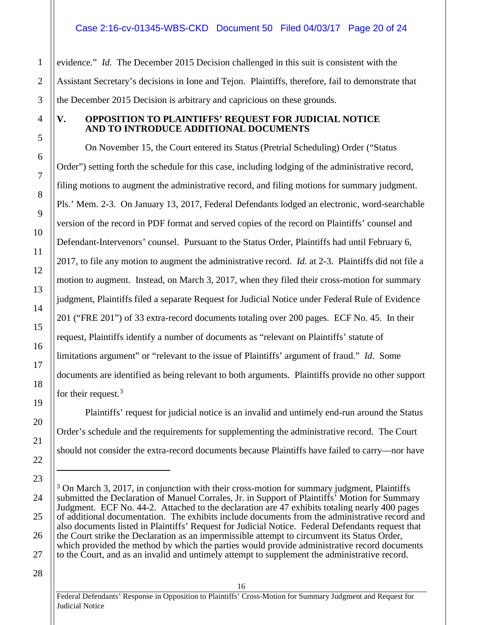evidence." *Id.* The December 2015 Decision challenged in this suit is consistent with the Assistant Secretary's decisions in Ione and Tejon. Plaintiffs, therefore, fail to demonstrate that the December 2015 Decision is arbitrary and capricious on these grounds.

#### <span id="page-19-0"></span>**V. OPPOSITION TO PLAINTIFFS' REQUEST FOR JUDICIAL NOTICE AND TO INTRODUCE ADDITIONAL DOCUMENTS**

On November 15, the Court entered its Status (Pretrial Scheduling) Order ("Status Order") setting forth the schedule for this case, including lodging of the administrative record, filing motions to augment the administrative record, and filing motions for summary judgment. Pls.' Mem. 2-3. On January 13, 2017, Federal Defendants lodged an electronic, word-searchable version of the record in PDF format and served copies of the record on Plaintiffs' counsel and Defendant-Intervenors' counsel. Pursuant to the Status Order, Plaintiffs had until February 6, 2017, to file any motion to augment the administrative record. *Id.* at 2-3. Plaintiffs did not file a motion to augment. Instead, on March 3, 2017, when they filed their cross-motion for summary judgment, Plaintiffs filed a separate Request for Judicial Notice under Federal Rule of Evidence 201 ("FRE 201") of 33 extra-record documents totaling over 200 pages. ECF No. 45. In their request, Plaintiffs identify a number of documents as "relevant on Plaintiffs' statute of limitations argument" or "relevant to the issue of Plaintiffs' argument of fraud." *Id.* Some documents are identified as being relevant to both arguments. Plaintiffs provide no other support for their request.<sup>[3](#page-19-1)</sup>

Plaintiffs' request for judicial notice is an invalid and untimely end-run around the Status Order's schedule and the requirements for supplementing the administrative record. The Court should not consider the extra-record documents because Plaintiffs have failed to carry—nor have

28

1

2

3

4

5

6

7

8

9

10

11

12

13

14

15

16

17

18

19

20

21

22

<span id="page-19-1"></span>23

 $\overline{a}$ 

24

25

26

27

Federal Defendants' Response in Opposition to Plaintiffs' Cross-Motion for Summary Judgment and Request for Judicial Notice

<sup>&</sup>lt;sup>3</sup> On March 3, 2017, in conjunction with their cross-motion for summary judgment, Plaintiffs submitted the Declaration of Manuel Corrales, Jr. in Support of Plaintiffs' Motion for Summary Judgment. ECF No. 44-2. Attached to the declaration are 47 exhibits totaling nearly 400 pages of additional documentation. The exhibits include documents from the administrative record and also documents listed in Plaintiffs' Request for Judicial Notice. Federal Defendants request that the Court strike the Declaration as an impermissible attempt to circumvent its Status Order, which provided the method by which the parties would provide administrative record documents to the Court, and as an invalid and untimely attempt to supplement the administrative record.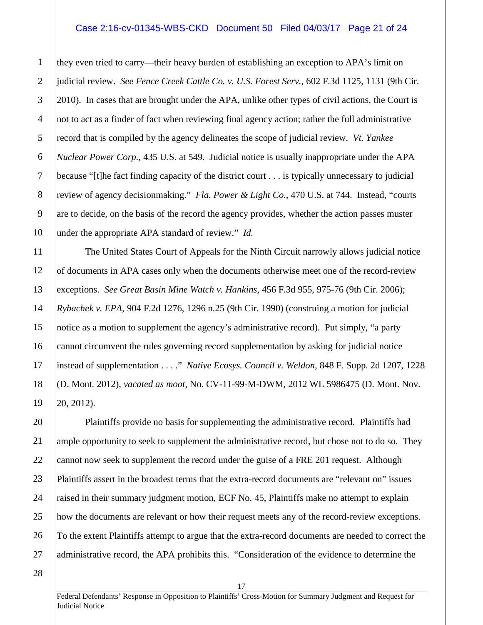#### Case 2:16-cv-01345-WBS-CKD Document 50 Filed 04/03/17 Page 21 of 24

they even tried to carry—their heavy burden of establishing an exception to APA's limit on judicial review. *See Fence Creek Cattle Co. v. U.S. Forest Serv.*, 602 F.3d 1125, 1131 (9th Cir. 2010). In cases that are brought under the APA, unlike other types of civil actions, the Court is not to act as a finder of fact when reviewing final agency action; rather the full administrative record that is compiled by the agency delineates the scope of judicial review. *Vt. Yankee Nuclear Power Corp.*, 435 U.S. at 549. Judicial notice is usually inappropriate under the APA because "[t]he fact finding capacity of the district court . . . is typically unnecessary to judicial review of agency decisionmaking." *Fla. Power & Light Co.*, 470 U.S. at 744. Instead, "courts are to decide, on the basis of the record the agency provides, whether the action passes muster under the appropriate APA standard of review." *Id.*

The United States Court of Appeals for the Ninth Circuit narrowly allows judicial notice of documents in APA cases only when the documents otherwise meet one of the record-review exceptions. *See Great Basin Mine Watch v. Hankins*, 456 F.3d 955, 975-76 (9th Cir. 2006); *Rybachek v. EPA*, 904 F.2d 1276, 1296 n.25 (9th Cir. 1990) (construing a motion for judicial notice as a motion to supplement the agency's administrative record). Put simply, "a party cannot circumvent the rules governing record supplementation by asking for judicial notice instead of supplementation . . . ." *Native Ecosys. Council v. Weldon*, 848 F. Supp. 2d 1207, 1228 (D. Mont. 2012), *vacated as moot*, No. CV-11-99-M-DWM, 2012 WL 5986475 (D. Mont. Nov. 20, 2012).

Plaintiffs provide no basis for supplementing the administrative record. Plaintiffs had ample opportunity to seek to supplement the administrative record, but chose not to do so. They cannot now seek to supplement the record under the guise of a FRE 201 request. Although Plaintiffs assert in the broadest terms that the extra-record documents are "relevant on" issues raised in their summary judgment motion, ECF No. 45, Plaintiffs make no attempt to explain how the documents are relevant or how their request meets any of the record-review exceptions. To the extent Plaintiffs attempt to argue that the extra-record documents are needed to correct the administrative record, the APA prohibits this. "Consideration of the evidence to determine the

28

1

2

3

4

5

6

7

8

9

10

11

12

13

14

15

16

17

18

19

20

21

22

23

24

25

26

27

Federal Defendants' Response in Opposition to Plaintiffs' Cross-Motion for Summary Judgment and Request for Judicial Notice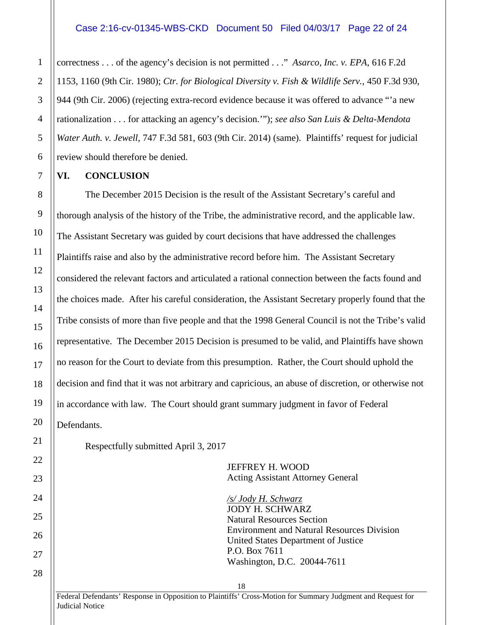#### Case 2:16-cv-01345-WBS-CKD Document 50 Filed 04/03/17 Page 22 of 24

correctness . . . of the agency's decision is not permitted . . ." *Asarco, Inc. v. EPA*, 616 F.2d 1153, 1160 (9th Cir. 1980); *Ctr. for Biological Diversity v. Fish & Wildlife Serv.*, 450 F.3d 930, 944 (9th Cir. 2006) (rejecting extra-record evidence because it was offered to advance "'a new rationalization . . . for attacking an agency's decision.'"); *see also San Luis & Delta-Mendota Water Auth. v. Jewell*, 747 F.3d 581, 603 (9th Cir. 2014) (same). Plaintiffs' request for judicial review should therefore be denied.

#### <span id="page-21-0"></span>**VI. CONCLUSION**

The December 2015 Decision is the result of the Assistant Secretary's careful and thorough analysis of the history of the Tribe, the administrative record, and the applicable law. The Assistant Secretary was guided by court decisions that have addressed the challenges Plaintiffs raise and also by the administrative record before him. The Assistant Secretary considered the relevant factors and articulated a rational connection between the facts found and the choices made. After his careful consideration, the Assistant Secretary properly found that the Tribe consists of more than five people and that the 1998 General Council is not the Tribe's valid representative. The December 2015 Decision is presumed to be valid, and Plaintiffs have shown no reason for the Court to deviate from this presumption. Rather, the Court should uphold the decision and find that it was not arbitrary and capricious, an abuse of discretion, or otherwise not in accordance with law. The Court should grant summary judgment in favor of Federal Defendants.

Respectfully submitted April 3, 2017

JEFFREY H. WOOD Acting Assistant Attorney General

*/s/ Jody H. Schwarz* JODY H. SCHWARZ Natural Resources Section Environment and Natural Resources Division United States Department of Justice P.O. Box 7611 Washington, D.C. 20044-7611

Federal Defendants' Response in Opposition to Plaintiffs' Cross-Motion for Summary Judgment and Request for Judicial Notice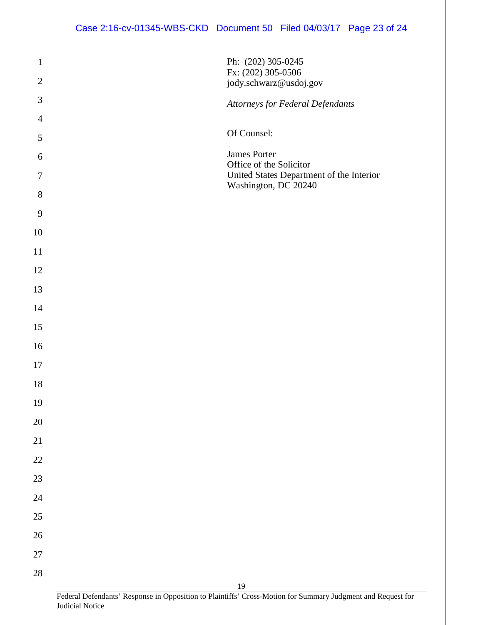| Case 2:16-cv-01345-WBS-CKD Document 50 Filed 04/03/17 Page 23 of 24 |  |  |  |
|---------------------------------------------------------------------|--|--|--|
|---------------------------------------------------------------------|--|--|--|

 Federal Defendants' Response in Opposition to Plaintiffs' Cross-Motion for Summary Judgment and Request for Judicial Notice Ph: (202) 305-0245 Fx: (202) 305-0506 jody.schwarz@usdoj.gov *Attorneys for Federal Defendants* Of Counsel: James Porter Office of the Solicitor United States Department of the Interior Washington, DC 20240